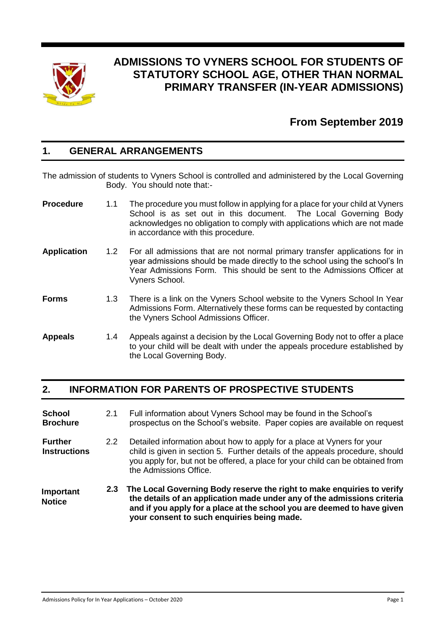

# **ADMISSIONS TO VYNERS SCHOOL FOR STUDENTS OF STATUTORY SCHOOL AGE, OTHER THAN NORMAL PRIMARY TRANSFER (IN-YEAR ADMISSIONS)**

## **From September 2019**

### **1. GENERAL ARRANGEMENTS**

The admission of students to Vyners School is controlled and administered by the Local Governing Body. You should note that:-

- **Procedure** 1.1 The procedure you must follow in applying for a place for your child at Vyners School is as set out in this document. The Local Governing Body acknowledges no obligation to comply with applications which are not made in accordance with this procedure.
- **Application** 1.2 For all admissions that are not normal primary transfer applications for in year admissions should be made directly to the school using the school's In Year Admissions Form. This should be sent to the Admissions Officer at Vyners School.
- **Forms** 1.3 There is a link on the Vyners School website to the Vyners School In Year Admissions Form. Alternatively these forms can be requested by contacting the Vyners School Admissions Officer.
- **Appeals** 1.4 Appeals against a decision by the Local Governing Body not to offer a place to your child will be dealt with under the appeals procedure established by the Local Governing Body.

## **2. INFORMATION FOR PARENTS OF PROSPECTIVE STUDENTS**

| <b>School</b><br><b>Brochure</b>      | 2.1           | Full information about Vyners School may be found in the School's<br>prospectus on the School's website. Paper copies are available on request                                                                                                                                 |
|---------------------------------------|---------------|--------------------------------------------------------------------------------------------------------------------------------------------------------------------------------------------------------------------------------------------------------------------------------|
| <b>Further</b><br><b>Instructions</b> | $2.2^{\circ}$ | Detailed information about how to apply for a place at Vyners for your<br>child is given in section 5. Further details of the appeals procedure, should<br>you apply for, but not be offered, a place for your child can be obtained from<br>the Admissions Office.            |
| Important<br><b>Notice</b>            |               | 2.3 The Local Governing Body reserve the right to make enquiries to verify<br>the details of an application made under any of the admissions criteria<br>and if you apply for a place at the school you are deemed to have given<br>your consent to such enquiries being made. |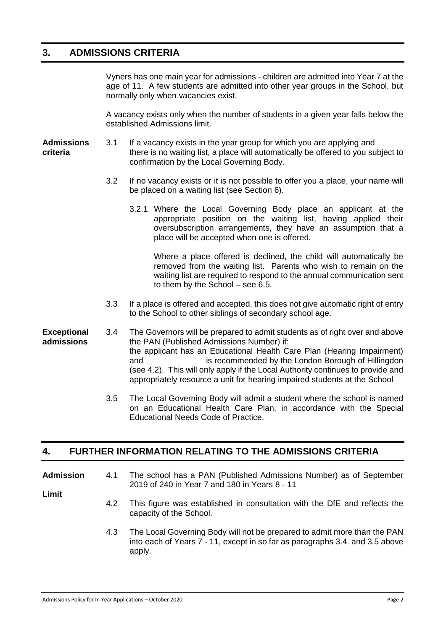### **3. ADMISSIONS CRITERIA**

Vyners has one main year for admissions - children are admitted into Year 7 at the age of 11. A few students are admitted into other year groups in the School, but normally only when vacancies exist.

A vacancy exists only when the number of students in a given year falls below the established Admissions limit.

- **Admissions** 3.1 If a vacancy exists in the year group for which you are applying and **criteria** there is no waiting list, a place will automatically be offered to you su **criteria** there is no waiting list, a place will automatically be offered to you subject to confirmation by the Local Governing Body.
	- 3.2 If no vacancy exists or it is not possible to offer you a place, your name will be placed on a waiting list (see Section 6).
		- 3.2.1 Where the Local Governing Body place an applicant at the appropriate position on the waiting list, having applied their oversubscription arrangements, they have an assumption that a place will be accepted when one is offered.

Where a place offered is declined, the child will automatically be removed from the waiting list. Parents who wish to remain on the waiting list are required to respond to the annual communication sent to them by the School – see 6.5.

- 3.3 If a place is offered and accepted, this does not give automatic right of entry to the School to other siblings of secondary school age.
- **Exceptional** 3.4 The Governors will be prepared to admit students as of right over and above admissions<br>admissions the PAN (Published Admissions Number) if: **admissions** the PAN (Published Admissions Number) if: the applicant has an Educational Health Care Plan (Hearing Impairment) and is recommended by the London Borough of Hillingdon (see 4.2). This will only apply if the Local Authority continues to provide and appropriately resource a unit for hearing impaired students at the School
	- 3.5 The Local Governing Body will admit a student where the school is named on an Educational Health Care Plan, in accordance with the Special Educational Needs Code of Practice.

### **4. FURTHER INFORMATION RELATING TO THE ADMISSIONS CRITERIA**

**Admission** 4.1 The school has a PAN (Published Admissions Number) as of September 2019 of 240 in Year 7 and 180 in Years 8 - 11

**Limit**

- 4.2 This figure was established in consultation with the DfE and reflects the capacity of the School.
- 4.3 The Local Governing Body will not be prepared to admit more than the PAN into each of Years 7 - 11, except in so far as paragraphs 3.4. and 3.5 above apply.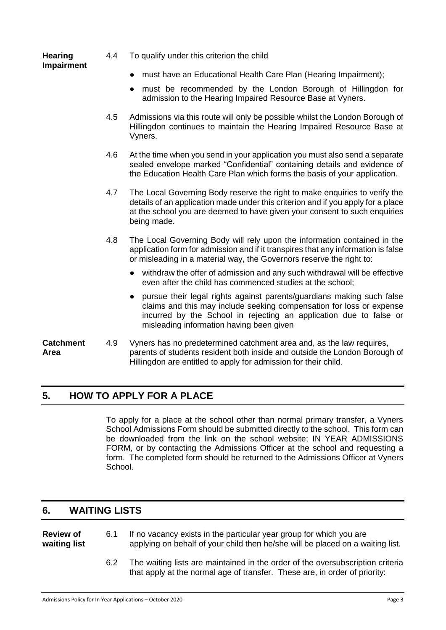# **Impairment**

- **Hearing** 4.4 To qualify under this criterion the child
	- must have an Educational Health Care Plan (Hearing Impairment);
	- must be recommended by the London Borough of Hillingdon for admission to the Hearing Impaired Resource Base at Vyners.
	- 4.5 Admissions via this route will only be possible whilst the London Borough of Hillingdon continues to maintain the Hearing Impaired Resource Base at Vyners.
	- 4.6 At the time when you send in your application you must also send a separate sealed envelope marked "Confidential" containing details and evidence of the Education Health Care Plan which forms the basis of your application.
	- 4.7 The Local Governing Body reserve the right to make enquiries to verify the details of an application made under this criterion and if you apply for a place at the school you are deemed to have given your consent to such enquiries being made.
	- 4.8 The Local Governing Body will rely upon the information contained in the application form for admission and if it transpires that any information is false or misleading in a material way, the Governors reserve the right to:
		- withdraw the offer of admission and any such withdrawal will be effective even after the child has commenced studies at the school;
		- pursue their legal rights against parents/guardians making such false claims and this may include seeking compensation for loss or expense incurred by the School in rejecting an application due to false or misleading information having been given

**Catchment** 4.9 Vyners has no predetermined catchment area and, as the law requires, **Area** parents of students resident both inside and outside the London Borough of Hillingdon are entitled to apply for admission for their child.

## **5. HOW TO APPLY FOR A PLACE**

To apply for a place at the school other than normal primary transfer, a Vyners School Admissions Form should be submitted directly to the school. This form can be downloaded from the link on the school website; IN YEAR ADMISSIONS FORM, or by contacting the Admissions Officer at the school and requesting a form. The completed form should be returned to the Admissions Officer at Vyners School.

## **6. WAITING LISTS**

**Review of** 6.1 If no vacancy exists in the particular year group for which you are **waiting list** applying on behalf of your child then he/she will be placed on a waiting list.

> 6.2 The waiting lists are maintained in the order of the oversubscription criteria that apply at the normal age of transfer. These are, in order of priority: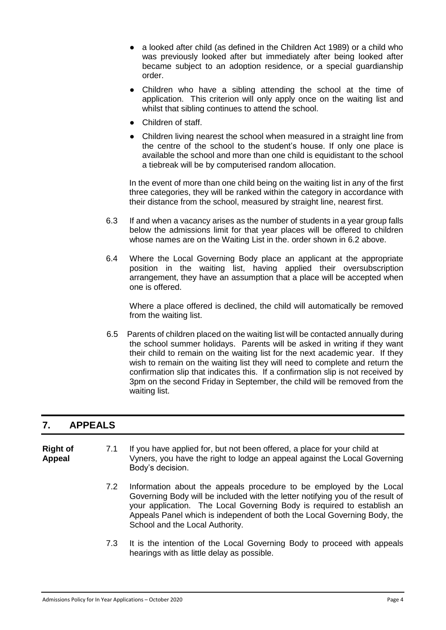- a looked after child (as defined in the Children Act 1989) or a child who was previously looked after but immediately after being looked after became subject to an adoption residence, or a special guardianship order.
- Children who have a sibling attending the school at the time of application. This criterion will only apply once on the waiting list and whilst that sibling continues to attend the school.
- Children of staff.
- Children living nearest the school when measured in a straight line from the centre of the school to the student's house. If only one place is available the school and more than one child is equidistant to the school a tiebreak will be by computerised random allocation.

In the event of more than one child being on the waiting list in any of the first three categories, they will be ranked within the category in accordance with their distance from the school, measured by straight line, nearest first.

- 6.3 If and when a vacancy arises as the number of students in a year group falls below the admissions limit for that year places will be offered to children whose names are on the Waiting List in the. order shown in 6.2 above.
- 6.4 Where the Local Governing Body place an applicant at the appropriate position in the waiting list, having applied their oversubscription arrangement, they have an assumption that a place will be accepted when one is offered.

Where a place offered is declined, the child will automatically be removed from the waiting list.

 6.5 Parents of children placed on the waiting list will be contacted annually during the school summer holidays. Parents will be asked in writing if they want their child to remain on the waiting list for the next academic year. If they wish to remain on the waiting list they will need to complete and return the confirmation slip that indicates this. If a confirmation slip is not received by 3pm on the second Friday in September, the child will be removed from the waiting list.

### **7. APPEALS**

**Right of** 7.1 If you have applied for, but not been offered, a place for your child at **Appeal** Vyners, you have the right to lodge an appeal against the Local Governing Body's decision.

- 7.2 Information about the appeals procedure to be employed by the Local Governing Body will be included with the letter notifying you of the result of your application. The Local Governing Body is required to establish an Appeals Panel which is independent of both the Local Governing Body, the School and the Local Authority.
- 7.3 It is the intention of the Local Governing Body to proceed with appeals hearings with as little delay as possible.